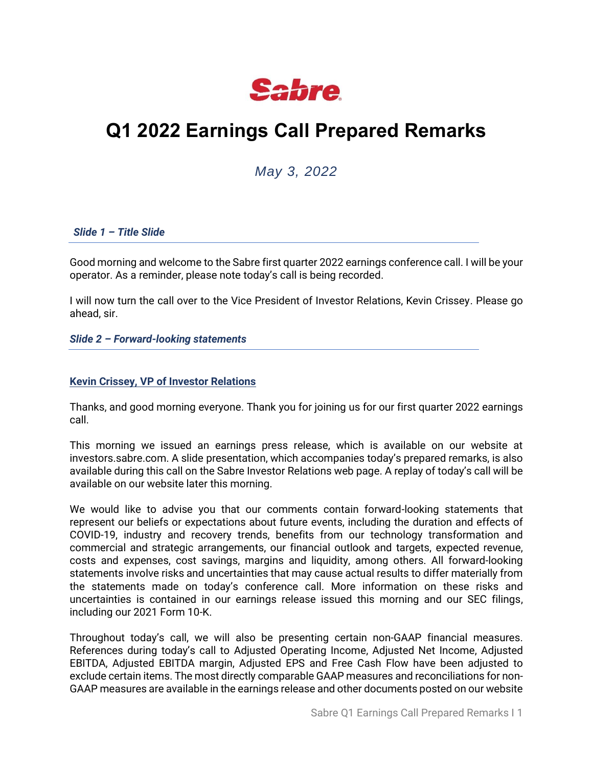

# **Q1 2022 Earnings Call Prepared Remarks**

# *May 3, 2022*

# *Slide 1 – Title Slide*

Good morning and welcome to the Sabre first quarter 2022 earnings conference call. I will be your operator. As a reminder, please note today's call is being recorded.

I will now turn the call over to the Vice President of Investor Relations, Kevin Crissey. Please go ahead, sir.

*Slide 2 – Forward-looking statements*

# **Kevin Crissey, VP of Investor Relations**

Thanks, and good morning everyone. Thank you for joining us for our first quarter 2022 earnings call.

This morning we issued an earnings press release, which is available on our website at investors.sabre.com. A slide presentation, which accompanies today's prepared remarks, is also available during this call on the Sabre Investor Relations web page. A replay of today's call will be available on our website later this morning.

We would like to advise you that our comments contain forward-looking statements that represent our beliefs or expectations about future events, including the duration and effects of COVID-19, industry and recovery trends, benefits from our technology transformation and commercial and strategic arrangements, our financial outlook and targets, expected revenue, costs and expenses, cost savings, margins and liquidity, among others. All forward-looking statements involve risks and uncertainties that may cause actual results to differ materially from the statements made on today's conference call. More information on these risks and uncertainties is contained in our earnings release issued this morning and our SEC filings, including our 2021 Form 10-K.

Throughout today's call, we will also be presenting certain non-GAAP financial measures. References during today's call to Adjusted Operating Income, Adjusted Net Income, Adjusted EBITDA, Adjusted EBITDA margin, Adjusted EPS and Free Cash Flow have been adjusted to exclude certain items. The most directly comparable GAAP measures and reconciliations for non-GAAP measures are available in the earnings release and other documents posted on our website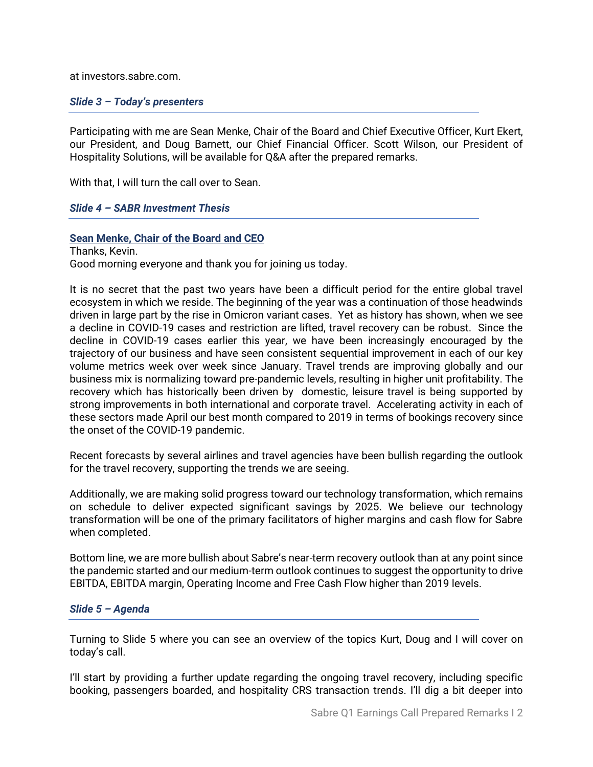at investors.sabre.com.

# *Slide 3 – Today's presenters*

Participating with me are Sean Menke, Chair of the Board and Chief Executive Officer, Kurt Ekert, our President, and Doug Barnett, our Chief Financial Officer. Scott Wilson, our President of Hospitality Solutions, will be available for Q&A after the prepared remarks.

With that, I will turn the call over to Sean.

# *Slide 4 – SABR Investment Thesis*

# **Sean Menke, Chair of the Board and CEO**

Thanks, Kevin. Good morning everyone and thank you for joining us today.

It is no secret that the past two years have been a difficult period for the entire global travel ecosystem in which we reside. The beginning of the year was a continuation of those headwinds driven in large part by the rise in Omicron variant cases. Yet as history has shown, when we see a decline in COVID-19 cases and restriction are lifted, travel recovery can be robust. Since the decline in COVID-19 cases earlier this year, we have been increasingly encouraged by the trajectory of our business and have seen consistent sequential improvement in each of our key volume metrics week over week since January. Travel trends are improving globally and our business mix is normalizing toward pre-pandemic levels, resulting in higher unit profitability. The recovery which has historically been driven by domestic, leisure travel is being supported by strong improvements in both international and corporate travel. Accelerating activity in each of these sectors made April our best month compared to 2019 in terms of bookings recovery since the onset of the COVID-19 pandemic.

Recent forecasts by several airlines and travel agencies have been bullish regarding the outlook for the travel recovery, supporting the trends we are seeing.

Additionally, we are making solid progress toward our technology transformation, which remains on schedule to deliver expected significant savings by 2025. We believe our technology transformation will be one of the primary facilitators of higher margins and cash flow for Sabre when completed.

Bottom line, we are more bullish about Sabre's near-term recovery outlook than at any point since the pandemic started and our medium-term outlook continues to suggest the opportunity to drive EBITDA, EBITDA margin, Operating Income and Free Cash Flow higher than 2019 levels.

#### *Slide 5 – Agenda*

Turning to Slide 5 where you can see an overview of the topics Kurt, Doug and I will cover on today's call.

I'll start by providing a further update regarding the ongoing travel recovery, including specific booking, passengers boarded, and hospitality CRS transaction trends. I'll dig a bit deeper into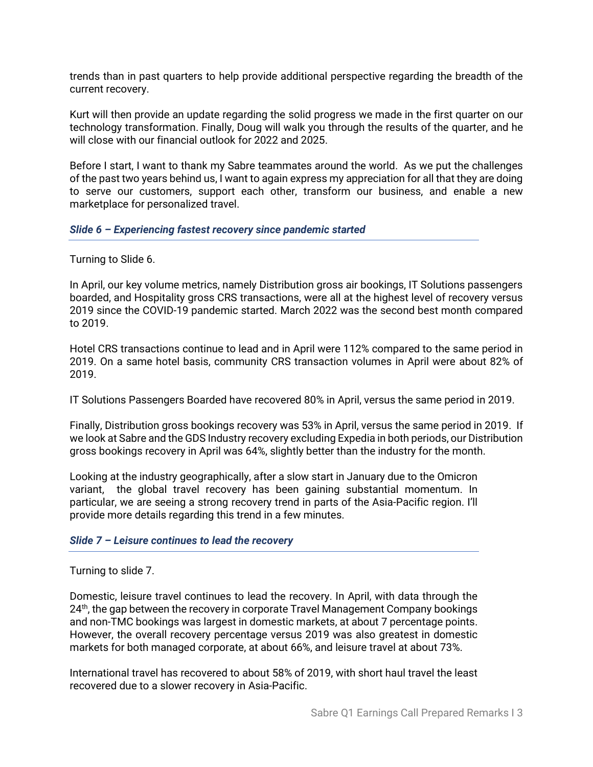trends than in past quarters to help provide additional perspective regarding the breadth of the current recovery.

Kurt will then provide an update regarding the solid progress we made in the first quarter on our technology transformation. Finally, Doug will walk you through the results of the quarter, and he will close with our financial outlook for 2022 and 2025.

Before I start, I want to thank my Sabre teammates around the world. As we put the challenges of the past two years behind us, I want to again express my appreciation for all that they are doing to serve our customers, support each other, transform our business, and enable a new marketplace for personalized travel.

#### *Slide 6 – Experiencing fastest recovery since pandemic started*

Turning to Slide 6.

In April, our key volume metrics, namely Distribution gross air bookings, IT Solutions passengers boarded, and Hospitality gross CRS transactions, were all at the highest level of recovery versus 2019 since the COVID-19 pandemic started. March 2022 was the second best month compared to 2019.

Hotel CRS transactions continue to lead and in April were 112% compared to the same period in 2019. On a same hotel basis, community CRS transaction volumes in April were about 82% of 2019.

IT Solutions Passengers Boarded have recovered 80% in April, versus the same period in 2019.

Finally, Distribution gross bookings recovery was 53% in April, versus the same period in 2019. If we look at Sabre and the GDS Industry recovery excluding Expedia in both periods, our Distribution gross bookings recovery in April was 64%, slightly better than the industry for the month.

Looking at the industry geographically, after a slow start in January due to the Omicron variant, the global travel recovery has been gaining substantial momentum. In particular, we are seeing a strong recovery trend in parts of the Asia-Pacific region. I'll provide more details regarding this trend in a few minutes.

#### *Slide 7 – Leisure continues to lead the recovery*

Turning to slide 7.

Domestic, leisure travel continues to lead the recovery. In April, with data through the 24<sup>th</sup>, the gap between the recovery in corporate Travel Management Company bookings and non-TMC bookings was largest in domestic markets, at about 7 percentage points. However, the overall recovery percentage versus 2019 was also greatest in domestic markets for both managed corporate, at about 66%, and leisure travel at about 73%.

International travel has recovered to about 58% of 2019, with short haul travel the least recovered due to a slower recovery in Asia-Pacific.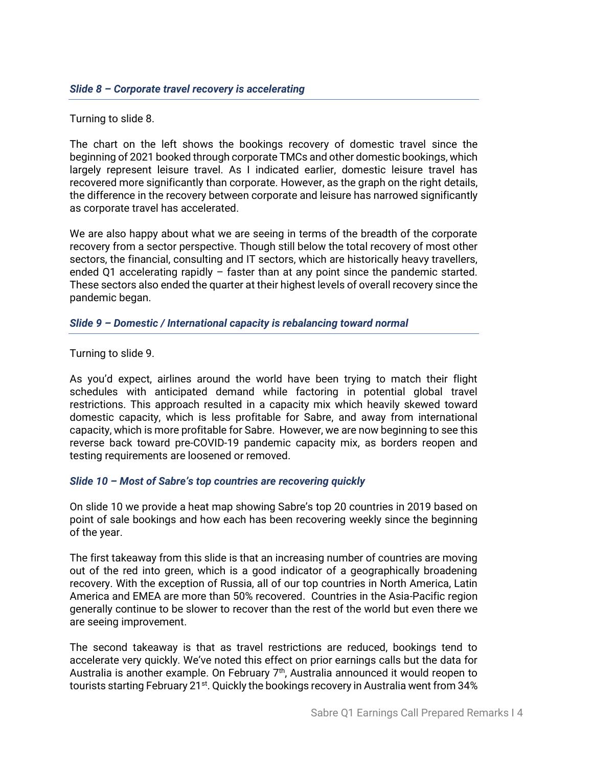Turning to slide 8.

The chart on the left shows the bookings recovery of domestic travel since the beginning of 2021 booked through corporate TMCs and other domestic bookings, which largely represent leisure travel. As I indicated earlier, domestic leisure travel has recovered more significantly than corporate. However, as the graph on the right details, the difference in the recovery between corporate and leisure has narrowed significantly as corporate travel has accelerated.

We are also happy about what we are seeing in terms of the breadth of the corporate recovery from a sector perspective. Though still below the total recovery of most other sectors, the financial, consulting and IT sectors, which are historically heavy travellers, ended Q1 accelerating rapidly – faster than at any point since the pandemic started. These sectors also ended the quarter at their highest levels of overall recovery since the pandemic began.

# *Slide 9 – Domestic / International capacity is rebalancing toward normal*

Turning to slide 9.

As you'd expect, airlines around the world have been trying to match their flight schedules with anticipated demand while factoring in potential global travel restrictions. This approach resulted in a capacity mix which heavily skewed toward domestic capacity, which is less profitable for Sabre, and away from international capacity, which is more profitable for Sabre. However, we are now beginning to see this reverse back toward pre-COVID-19 pandemic capacity mix, as borders reopen and testing requirements are loosened or removed.

# *Slide 10 – Most of Sabre's top countries are recovering quickly*

On slide 10 we provide a heat map showing Sabre's top 20 countries in 2019 based on point of sale bookings and how each has been recovering weekly since the beginning of the year.

The first takeaway from this slide is that an increasing number of countries are moving out of the red into green, which is a good indicator of a geographically broadening recovery. With the exception of Russia, all of our top countries in North America, Latin America and EMEA are more than 50% recovered. Countries in the Asia-Pacific region generally continue to be slower to recover than the rest of the world but even there we are seeing improvement.

The second takeaway is that as travel restrictions are reduced, bookings tend to accelerate very quickly. We've noted this effect on prior earnings calls but the data for Australia is another example. On February 7<sup>th</sup>, Australia announced it would reopen to tourists starting February 21st. Quickly the bookings recovery in Australia went from 34%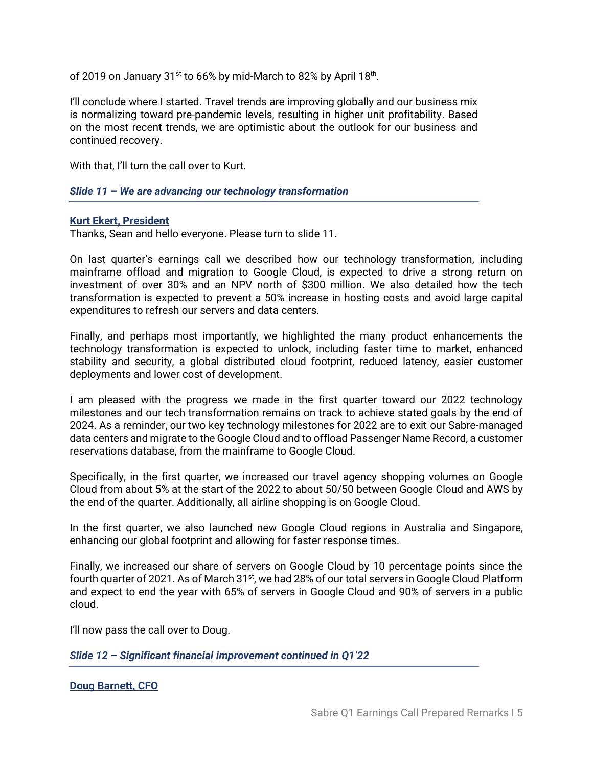of 2019 on January 31 $^{\rm st}$  to 66% by mid-March to 82% by April 18 $^{\rm th}$ .

I'll conclude where I started. Travel trends are improving globally and our business mix is normalizing toward pre-pandemic levels, resulting in higher unit profitability. Based on the most recent trends, we are optimistic about the outlook for our business and continued recovery.

With that, I'll turn the call over to Kurt.

*Slide 11 – We are advancing our technology transformation*

#### **Kurt Ekert, President**

Thanks, Sean and hello everyone. Please turn to slide 11.

On last quarter's earnings call we described how our technology transformation, including mainframe offload and migration to Google Cloud, is expected to drive a strong return on investment of over 30% and an NPV north of \$300 million. We also detailed how the tech transformation is expected to prevent a 50% increase in hosting costs and avoid large capital expenditures to refresh our servers and data centers.

Finally, and perhaps most importantly, we highlighted the many product enhancements the technology transformation is expected to unlock, including faster time to market, enhanced stability and security, a global distributed cloud footprint, reduced latency, easier customer deployments and lower cost of development.

I am pleased with the progress we made in the first quarter toward our 2022 technology milestones and our tech transformation remains on track to achieve stated goals by the end of 2024. As a reminder, our two key technology milestones for 2022 are to exit our Sabre-managed data centers and migrate to the Google Cloud and to offload Passenger Name Record, a customer reservations database, from the mainframe to Google Cloud.

Specifically, in the first quarter, we increased our travel agency shopping volumes on Google Cloud from about 5% at the start of the 2022 to about 50/50 between Google Cloud and AWS by the end of the quarter. Additionally, all airline shopping is on Google Cloud.

In the first quarter, we also launched new Google Cloud regions in Australia and Singapore, enhancing our global footprint and allowing for faster response times.

Finally, we increased our share of servers on Google Cloud by 10 percentage points since the fourth quarter of 2021. As of March 31<sup>st</sup>, we had 28% of our total servers in Google Cloud Platform and expect to end the year with 65% of servers in Google Cloud and 90% of servers in a public cloud.

I'll now pass the call over to Doug.

*Slide 12 – Significant financial improvement continued in Q1'22*

**Doug Barnett, CFO**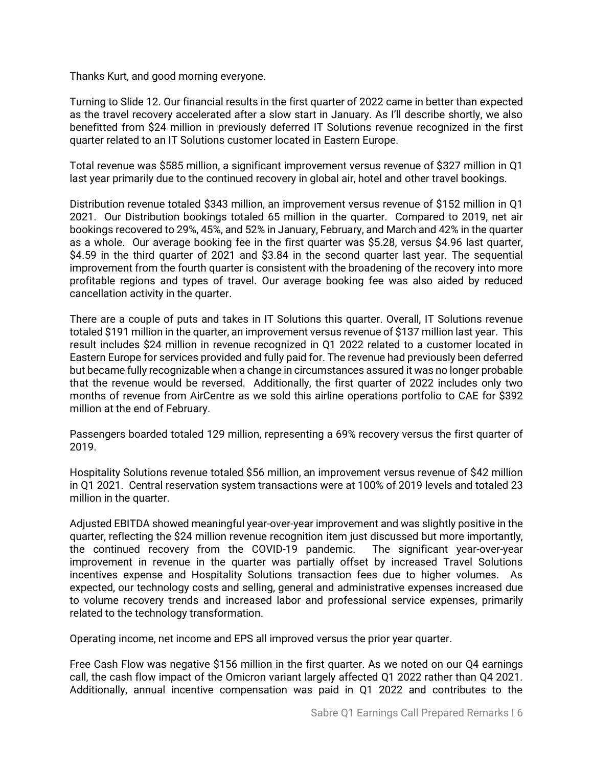Thanks Kurt, and good morning everyone.

Turning to Slide 12. Our financial results in the first quarter of 2022 came in better than expected as the travel recovery accelerated after a slow start in January. As I'll describe shortly, we also benefitted from \$24 million in previously deferred IT Solutions revenue recognized in the first quarter related to an IT Solutions customer located in Eastern Europe.

Total revenue was \$585 million, a significant improvement versus revenue of \$327 million in Q1 last year primarily due to the continued recovery in global air, hotel and other travel bookings.

Distribution revenue totaled \$343 million, an improvement versus revenue of \$152 million in Q1 2021. Our Distribution bookings totaled 65 million in the quarter. Compared to 2019, net air bookings recovered to 29%, 45%, and 52% in January, February, and March and 42% in the quarter as a whole. Our average booking fee in the first quarter was \$5.28, versus \$4.96 last quarter, \$4.59 in the third quarter of 2021 and \$3.84 in the second quarter last year. The sequential improvement from the fourth quarter is consistent with the broadening of the recovery into more profitable regions and types of travel. Our average booking fee was also aided by reduced cancellation activity in the quarter.

There are a couple of puts and takes in IT Solutions this quarter. Overall, IT Solutions revenue totaled \$191 million in the quarter, an improvement versus revenue of \$137 million last year. This result includes \$24 million in revenue recognized in Q1 2022 related to a customer located in Eastern Europe for services provided and fully paid for. The revenue had previously been deferred but became fully recognizable when a change in circumstances assured it was no longer probable that the revenue would be reversed. Additionally, the first quarter of 2022 includes only two months of revenue from AirCentre as we sold this airline operations portfolio to CAE for \$392 million at the end of February.

Passengers boarded totaled 129 million, representing a 69% recovery versus the first quarter of 2019.

Hospitality Solutions revenue totaled \$56 million, an improvement versus revenue of \$42 million in Q1 2021. Central reservation system transactions were at 100% of 2019 levels and totaled 23 million in the quarter.

Adjusted EBITDA showed meaningful year-over-year improvement and was slightly positive in the quarter, reflecting the \$24 million revenue recognition item just discussed but more importantly, the continued recovery from the COVID-19 pandemic. The significant year-over-year improvement in revenue in the quarter was partially offset by increased Travel Solutions incentives expense and Hospitality Solutions transaction fees due to higher volumes. As expected, our technology costs and selling, general and administrative expenses increased due to volume recovery trends and increased labor and professional service expenses, primarily related to the technology transformation.

Operating income, net income and EPS all improved versus the prior year quarter.

Free Cash Flow was negative \$156 million in the first quarter. As we noted on our Q4 earnings call, the cash flow impact of the Omicron variant largely affected Q1 2022 rather than Q4 2021. Additionally, annual incentive compensation was paid in Q1 2022 and contributes to the